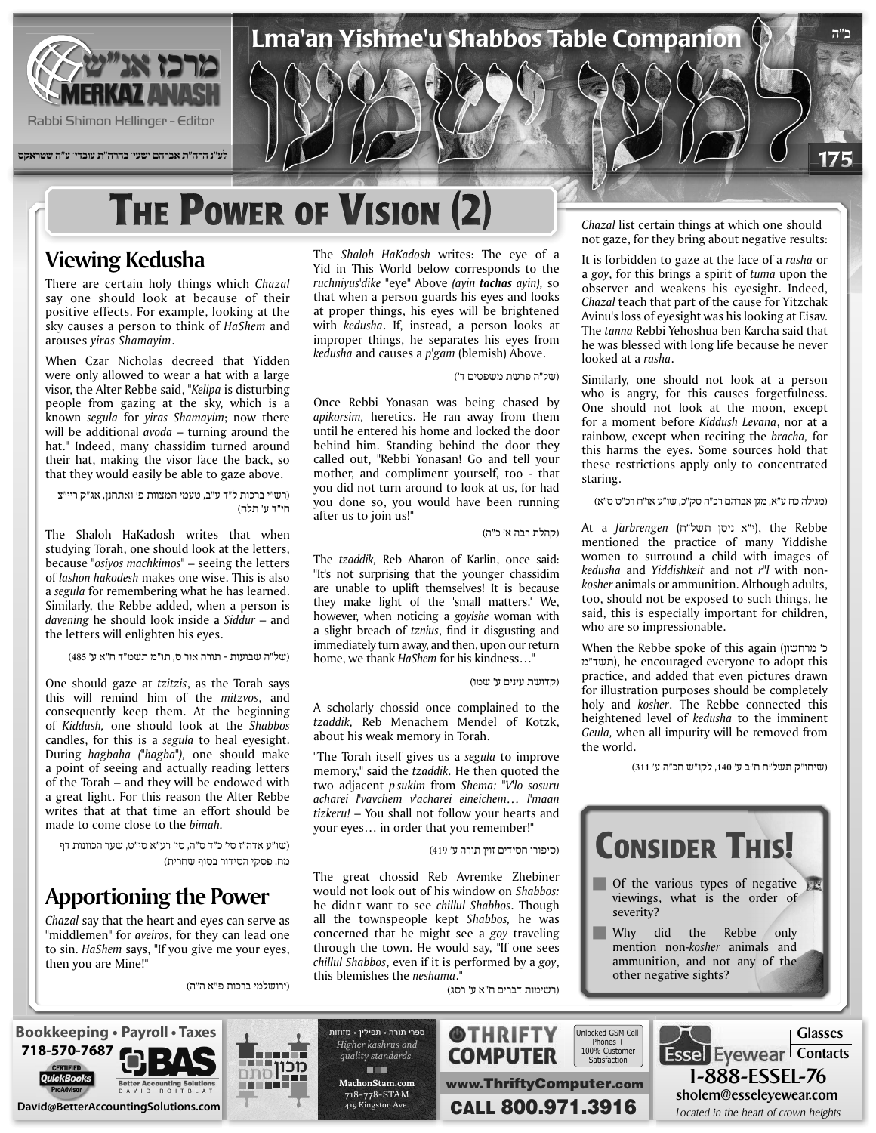

## **THE POWER OF VISION (2)**

### **Viewing Kedusha**

There are certain holy things which Chazal say one should look at because of their positive effects. For example, looking at the sky causes a person to think of HaShem and .*Shamayim yiras* arouses

When Czar Nicholas decreed that Yidden were only allowed to wear a hat with a large visor, the Alter Rebbe said, "Kelipa is disturbing people from gazing at the sky, which is a known *segula* for *yiras Shamayim*; now there will be additional  $a\nuoda$  – turning around the hat." Indeed, many chassidim turned around their hat, making the visor face the back, so that they would easily be able to gaze above.

(רש"י ברכות ל"ד ע"ב, טעמי המצוות פ' ואתחנן, אג"ק ריי"צ חי"ד ע' תלח)

The Shaloh HaKadosh writes that when studying Torah, one should look at the letters, because<sup>"</sup> *osiyos machkimos*" – seeing the letters of *lashon hakodesh* makes one wise. This is also a segula for remembering what he has learned. Similarly, the Rebbe added, when a person is davening he should look inside a *Siddur* – and the letters will enlighten his eyes.

(של"ה שבועות - תורה אור ס, תו"מ תשמ"ד ח"א ע' 485)

One should gaze at *tzitzis*, as the Torah says this will remind him of the mitzvos, and consequently keep them. At the beginning of Kiddush, one should look at the Shabbos candles, for this is a *segula* to heal eyesight. During hagbaha ("hagba"), one should make a point of seeing and actually reading letters of the Torah – and they will be endowed with a great light. For this reason the Alter Rebbe writes that at that time an effort should be made to come close to the *bimah*.

(שו"ע אדה"ז סי' כ"ד ס"ה, סי' רע"א סי"ט, שער הכוונות דף מח, פסקי הסידור בסוף שחרית)

### **Apportioning the Power**

Chazal say that the heart and eyes can serve as "middlemen" for *aveiros*, for they can lead one to sin. HaShem says, "If you give me your eyes, then you are Mine!"

(ירושלמי ברכות פ"א ה"ה)

The Shaloh HaKadosh writes: The eye of a Yid in This World below corresponds to the ruchniyus'dike "eye" Above (ayin tachas ayin), so that when a person guards his eyes and looks at proper things, his eyes will be brightened with kedusha. If, instead, a person looks at improper things, he separates his eyes from *kedusha* and causes a *p*'gam (blemish) Above.

#### (של"ה פרשת משפטים ד')

Once Rebbi Yonasan was being chased by apikorsim, heretics. He ran away from them until he entered his home and locked the door behind him. Standing behind the door they called out, "Rebbi Yonasan! Go and tell your mother, and compliment yourself, too - that you did not turn around to look at us, for had you done so, you would have been running after us to join us!"

(קהלת רבה א' כ"ה)

The tzaddik, Reb Aharon of Karlin, once said: "It's not surprising that the younger chassidim are unable to uplift themselves! It is because they make light of the 'small matters.' We, however, when noticing a *goyishe* woman with a slight breach of *tznius*, find it disgusting and immediately turn away, and then, upon our return home, we thank *HaShem* for his kindness..."

(קדושת עינים ע' שמו)

A scholarly chossid once complained to the tzaddik, Reb Menachem Mendel of Kotzk, about his weak memory in Torah.

"The Torah itself gives us a segula to improve memory," said the *tzaddik*. He then quoted the *two adjacent p'sukim from Shema: "Vlo sosuru maan'l… eineichem acharei'v vavchem'l acharei* tizkeru! – You shall not follow your hearts and your eyes... in order that you remember!"

(סיפורי חסידים זוין תורה ע' 419)

(רשימות דברים ח"א ע' רסג)

**@THRIFTY COMPUTER** 

The great chossid Reb Avremke Zhebiner would not look out of his window on Shabbos: he didn't want to see chillul Shabbos. Though all the townspeople kept Shabbos, he was concerned that he might see a goy traveling through the town. He would say, "If one sees *chillul Shabbos, even if it is performed by a goy,* this blemishes the *neshama*."

Chazal list certain things at which one should not gaze, for they bring about negative results:

**ב"ה**

175

It is forbidden to gaze at the face of a rasha or a goy, for this brings a spirit of *tuma* upon the observer and weakens his eyesight. Indeed, Chazal teach that part of the cause for Yitzchak Avinu's loss of eyesight was his looking at Eisav. The tanna Rebbi Yehoshua ben Karcha said that he was blessed with long life because he never looked at a rasha.

Similarly, one should not look at a person who is angry, for this causes forgetfulness. One should not look at the moon, except for a moment before Kiddush Levana, nor at a rainbow, except when reciting the *bracha*, for this harms the eyes. Some sources hold that these restrictions apply only to concentrated staring.

(מגילה כח ע"א, מגן אברהם רכ"ה סק"כ, שו"ע או"ח רכ"ט ס"א)

 Rebbe the ,)י"א ניסן תשל"ח) *farbrengen* a At mentioned the practice of many Yiddishe women to surround a child with images of  $kosher$  animals or ammunition. Although adults, kedusha and *Yiddishkeit* and not r"*l* with nontoo, should not be exposed to such things, he said, this is especially important for children, who are so impressionable.

כ' מרחשון) When the Rebbe spoke of this again (כ' תשד"מ), he encouraged everyone to adopt this practice, and added that even pictures drawn for illustration purposes should be completely holy and *kosher*. The Rebbe connected this heightened level of *kedusha* to the imminent Geula, when all impurity will be removed from the world.

(שיחו"ק תשל"ח ח"ב ע' ,140 לקו"ש חכ"ה ע' 311)







ספרי תורה - תפילין - מזוזות **Higher** kashrus and *.standards quality* **THE com.MachonStam** 718-778-STAM 419 Kingston Ave.